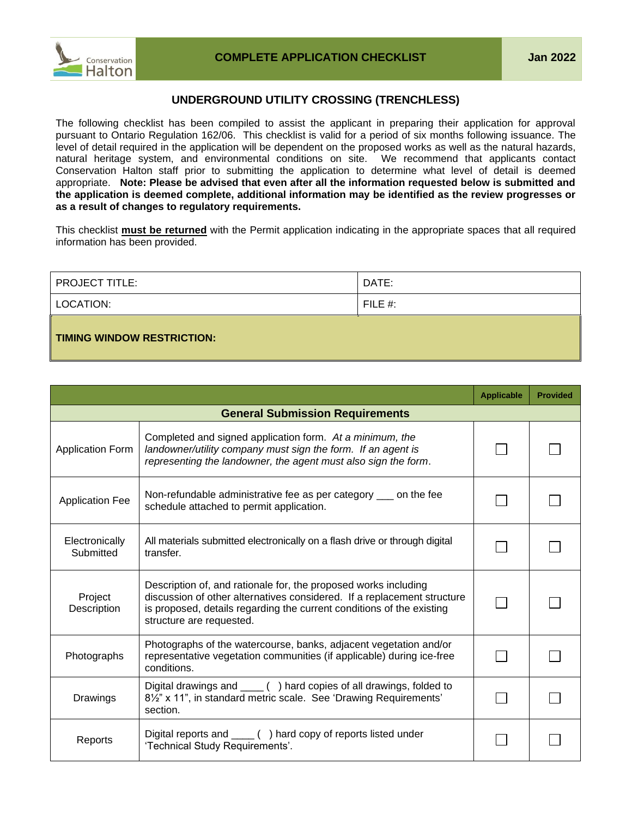

## **UNDERGROUND UTILITY CROSSING (TRENCHLESS)**

The following checklist has been compiled to assist the applicant in preparing their application for approval pursuant to Ontario Regulation 162/06. This checklist is valid for a period of six months following issuance. The level of detail required in the application will be dependent on the proposed works as well as the natural hazards, natural heritage system, and environmental conditions on site. We recommend that applicants contact Conservation Halton staff prior to submitting the application to determine what level of detail is deemed appropriate. **Note: Please be advised that even after all the information requested below is submitted and the application is deemed complete, additional information may be identified as the review progresses or as a result of changes to regulatory requirements.**

This checklist **must be returned** with the Permit application indicating in the appropriate spaces that all required information has been provided.

| <b>PROJECT TITLE:</b>      | DATE:      |
|----------------------------|------------|
| LOCATION:                  | FILE $#$ : |
| TIMING WINDOW RESTRICTION: |            |

|                                        |                                                                                                                                                                                                                                                 | <b>Applicable</b> | <b>Provided</b> |
|----------------------------------------|-------------------------------------------------------------------------------------------------------------------------------------------------------------------------------------------------------------------------------------------------|-------------------|-----------------|
| <b>General Submission Requirements</b> |                                                                                                                                                                                                                                                 |                   |                 |
| <b>Application Form</b>                | Completed and signed application form. At a minimum, the<br>landowner/utility company must sign the form. If an agent is<br>representing the landowner, the agent must also sign the form.                                                      |                   |                 |
| <b>Application Fee</b>                 | Non-refundable administrative fee as per category ____ on the fee<br>schedule attached to permit application.                                                                                                                                   |                   |                 |
| Electronically<br>Submitted            | All materials submitted electronically on a flash drive or through digital<br>transfer.                                                                                                                                                         |                   |                 |
| Project<br>Description                 | Description of, and rationale for, the proposed works including<br>discussion of other alternatives considered. If a replacement structure<br>is proposed, details regarding the current conditions of the existing<br>structure are requested. |                   |                 |
| Photographs                            | Photographs of the watercourse, banks, adjacent vegetation and/or<br>representative vegetation communities (if applicable) during ice-free<br>conditions.                                                                                       |                   |                 |
| Drawings                               | Digital drawings and _____ () hard copies of all drawings, folded to<br>8 <sup>1/2"</sup> x 11", in standard metric scale. See 'Drawing Requirements'<br>section.                                                                               |                   |                 |
| Reports                                | Digital reports and ____ () hard copy of reports listed under<br>'Technical Study Requirements'.                                                                                                                                                |                   |                 |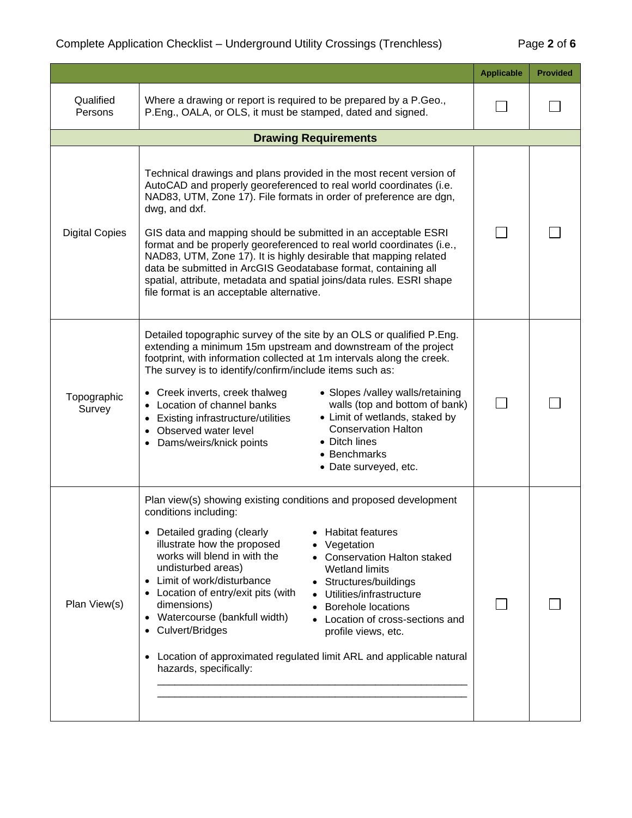|                       |                                                                                                                                                                                                                                                                                                                                                                                                                                                                                                                                                                                                                                                                                                            | <b>Applicable</b> | <b>Provided</b> |
|-----------------------|------------------------------------------------------------------------------------------------------------------------------------------------------------------------------------------------------------------------------------------------------------------------------------------------------------------------------------------------------------------------------------------------------------------------------------------------------------------------------------------------------------------------------------------------------------------------------------------------------------------------------------------------------------------------------------------------------------|-------------------|-----------------|
| Qualified<br>Persons  | Where a drawing or report is required to be prepared by a P.Geo.,<br>P.Eng., OALA, or OLS, it must be stamped, dated and signed.                                                                                                                                                                                                                                                                                                                                                                                                                                                                                                                                                                           |                   |                 |
|                       | <b>Drawing Requirements</b>                                                                                                                                                                                                                                                                                                                                                                                                                                                                                                                                                                                                                                                                                |                   |                 |
| <b>Digital Copies</b> | Technical drawings and plans provided in the most recent version of<br>AutoCAD and properly georeferenced to real world coordinates (i.e.<br>NAD83, UTM, Zone 17). File formats in order of preference are dgn,<br>dwg, and dxf.<br>GIS data and mapping should be submitted in an acceptable ESRI<br>format and be properly georeferenced to real world coordinates (i.e.,<br>NAD83, UTM, Zone 17). It is highly desirable that mapping related<br>data be submitted in ArcGIS Geodatabase format, containing all<br>spatial, attribute, metadata and spatial joins/data rules. ESRI shape<br>file format is an acceptable alternative.                                                                   |                   |                 |
| Topographic<br>Survey | Detailed topographic survey of the site by an OLS or qualified P.Eng.<br>extending a minimum 15m upstream and downstream of the project<br>footprint, with information collected at 1m intervals along the creek.<br>The survey is to identify/confirm/include items such as:<br>Creek inverts, creek thalweg<br>• Slopes /valley walls/retaining<br>walls (top and bottom of bank)<br>Location of channel banks<br>• Limit of wetlands, staked by<br><b>Existing infrastructure/utilities</b><br><b>Conservation Halton</b><br>Observed water level<br>• Ditch lines<br>Dams/weirs/knick points<br>• Benchmarks<br>• Date surveyed, etc.                                                                  |                   |                 |
| Plan View(s)          | Plan view(s) showing existing conditions and proposed development<br>conditions including:<br>Detailed grading (clearly<br><b>Habitat features</b><br>illustrate how the proposed<br>Vegetation<br>works will blend in with the<br>• Conservation Halton staked<br>undisturbed areas)<br><b>Wetland limits</b><br>Limit of work/disturbance<br>$\bullet$<br>Structures/buildings<br>Location of entry/exit pits (with<br>Utilities/infrastructure<br>dimensions)<br><b>Borehole locations</b><br>Watercourse (bankfull width)<br>Location of cross-sections and<br>Culvert/Bridges<br>profile views, etc.<br>Location of approximated regulated limit ARL and applicable natural<br>hazards, specifically: |                   |                 |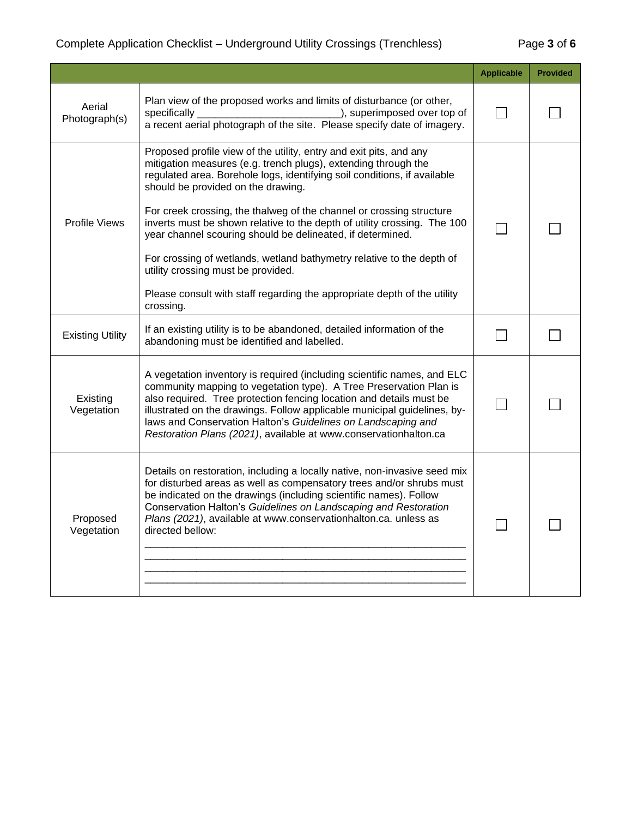## Complete Application Checklist – Underground Utility Crossings (Trenchless) Page **3** of **6**

|                         |                                                                                                                                                                                                                                                                                                                                                                                                                                      | <b>Applicable</b> | <b>Provided</b> |
|-------------------------|--------------------------------------------------------------------------------------------------------------------------------------------------------------------------------------------------------------------------------------------------------------------------------------------------------------------------------------------------------------------------------------------------------------------------------------|-------------------|-----------------|
| Aerial<br>Photograph(s) | Plan view of the proposed works and limits of disturbance (or other,<br>specifically<br>_), superimposed over top of<br>a recent aerial photograph of the site. Please specify date of imagery.                                                                                                                                                                                                                                      |                   |                 |
| <b>Profile Views</b>    | Proposed profile view of the utility, entry and exit pits, and any<br>mitigation measures (e.g. trench plugs), extending through the<br>regulated area. Borehole logs, identifying soil conditions, if available<br>should be provided on the drawing.<br>For creek crossing, the thalweg of the channel or crossing structure<br>inverts must be shown relative to the depth of utility crossing. The 100                           |                   |                 |
|                         | year channel scouring should be delineated, if determined.<br>For crossing of wetlands, wetland bathymetry relative to the depth of<br>utility crossing must be provided.<br>Please consult with staff regarding the appropriate depth of the utility<br>crossing.                                                                                                                                                                   |                   |                 |
| <b>Existing Utility</b> | If an existing utility is to be abandoned, detailed information of the<br>abandoning must be identified and labelled.                                                                                                                                                                                                                                                                                                                |                   |                 |
| Existing<br>Vegetation  | A vegetation inventory is required (including scientific names, and ELC<br>community mapping to vegetation type). A Tree Preservation Plan is<br>also required. Tree protection fencing location and details must be<br>illustrated on the drawings. Follow applicable municipal guidelines, by-<br>laws and Conservation Halton's Guidelines on Landscaping and<br>Restoration Plans (2021), available at www.conservationhalton.ca |                   |                 |
| Proposed<br>Vegetation  | Details on restoration, including a locally native, non-invasive seed mix<br>for disturbed areas as well as compensatory trees and/or shrubs must<br>be indicated on the drawings (including scientific names). Follow<br>Conservation Halton's Guidelines on Landscaping and Restoration<br>Plans (2021), available at www.conservationhalton.ca. unless as<br>directed bellow:                                                     |                   |                 |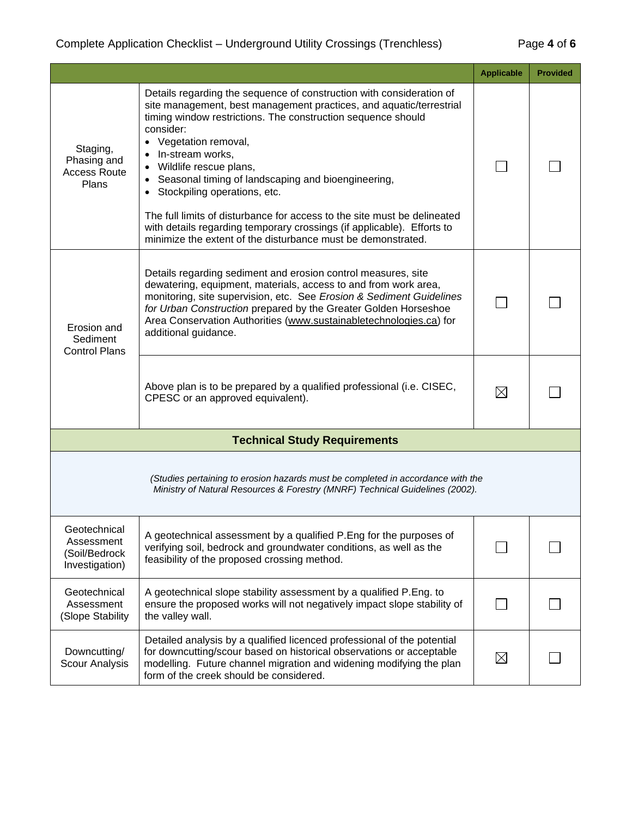|                                                                                                                                                                 |                                                                                                                                                                                                                                                                                                                                                                                                                                                                                                                                                                                                                 | <b>Applicable</b> | <b>Provided</b> |
|-----------------------------------------------------------------------------------------------------------------------------------------------------------------|-----------------------------------------------------------------------------------------------------------------------------------------------------------------------------------------------------------------------------------------------------------------------------------------------------------------------------------------------------------------------------------------------------------------------------------------------------------------------------------------------------------------------------------------------------------------------------------------------------------------|-------------------|-----------------|
| Staging,<br>Phasing and<br><b>Access Route</b><br>Plans                                                                                                         | Details regarding the sequence of construction with consideration of<br>site management, best management practices, and aquatic/terrestrial<br>timing window restrictions. The construction sequence should<br>consider:<br>Vegetation removal,<br>In-stream works,<br>• Wildlife rescue plans,<br>• Seasonal timing of landscaping and bioengineering,<br>• Stockpiling operations, etc.<br>The full limits of disturbance for access to the site must be delineated<br>with details regarding temporary crossings (if applicable). Efforts to<br>minimize the extent of the disturbance must be demonstrated. |                   |                 |
| Erosion and<br>Sediment<br><b>Control Plans</b>                                                                                                                 | Details regarding sediment and erosion control measures, site<br>dewatering, equipment, materials, access to and from work area,<br>monitoring, site supervision, etc. See Erosion & Sediment Guidelines<br>for Urban Construction prepared by the Greater Golden Horseshoe<br>Area Conservation Authorities (www.sustainabletechnologies.ca) for<br>additional guidance.                                                                                                                                                                                                                                       |                   |                 |
|                                                                                                                                                                 | Above plan is to be prepared by a qualified professional (i.e. CISEC,<br>CPESC or an approved equivalent).                                                                                                                                                                                                                                                                                                                                                                                                                                                                                                      | $\boxtimes$       |                 |
| <b>Technical Study Requirements</b>                                                                                                                             |                                                                                                                                                                                                                                                                                                                                                                                                                                                                                                                                                                                                                 |                   |                 |
| (Studies pertaining to erosion hazards must be completed in accordance with the<br>Ministry of Natural Resources & Forestry (MNRF) Technical Guidelines (2002). |                                                                                                                                                                                                                                                                                                                                                                                                                                                                                                                                                                                                                 |                   |                 |
| Geotechnical<br>Assessment<br>(Soil/Bedrock<br>Investigation)                                                                                                   | A geotechnical assessment by a qualified P.Eng for the purposes of<br>verifying soil, bedrock and groundwater conditions, as well as the<br>feasibility of the proposed crossing method.                                                                                                                                                                                                                                                                                                                                                                                                                        |                   |                 |
| Geotechnical<br>Assessment<br>(Slope Stability                                                                                                                  | A geotechnical slope stability assessment by a qualified P.Eng. to<br>ensure the proposed works will not negatively impact slope stability of<br>the valley wall.                                                                                                                                                                                                                                                                                                                                                                                                                                               |                   |                 |
| Downcutting/<br>Scour Analysis                                                                                                                                  | Detailed analysis by a qualified licenced professional of the potential<br>for downcutting/scour based on historical observations or acceptable<br>modelling. Future channel migration and widening modifying the plan<br>form of the creek should be considered.                                                                                                                                                                                                                                                                                                                                               | $\boxtimes$       |                 |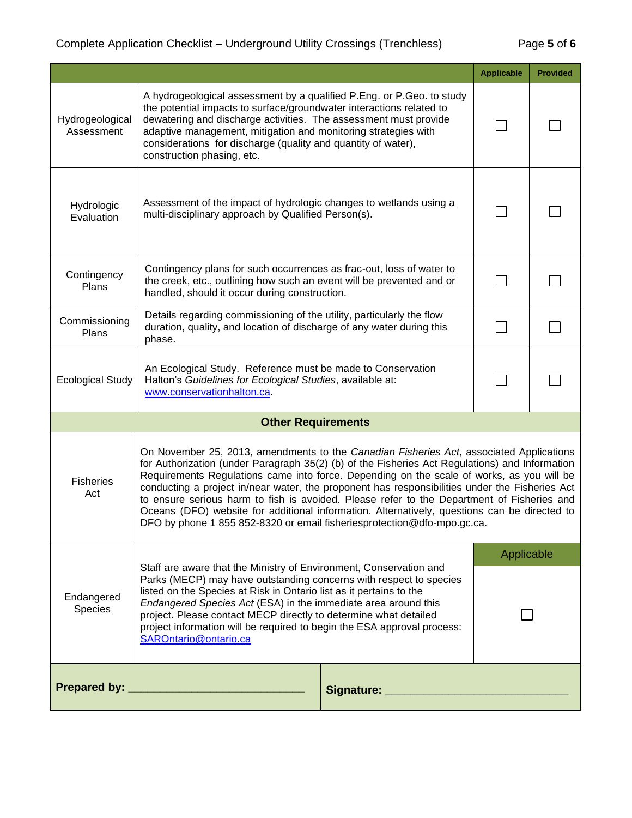## Complete Application Checklist – Underground Utility Crossings (Trenchless) Page **5** of **6**

|                                                                                                                                                                                                                                                                                                                                                                                                                                                                                                                                                                                                                                                                                              |                                                                                                                                                                                                                                                                                                                                                                                                                                                           |                                                                                                                                                                                                | <b>Applicable</b> | <b>Provided</b> |
|----------------------------------------------------------------------------------------------------------------------------------------------------------------------------------------------------------------------------------------------------------------------------------------------------------------------------------------------------------------------------------------------------------------------------------------------------------------------------------------------------------------------------------------------------------------------------------------------------------------------------------------------------------------------------------------------|-----------------------------------------------------------------------------------------------------------------------------------------------------------------------------------------------------------------------------------------------------------------------------------------------------------------------------------------------------------------------------------------------------------------------------------------------------------|------------------------------------------------------------------------------------------------------------------------------------------------------------------------------------------------|-------------------|-----------------|
| Hydrogeological<br>Assessment                                                                                                                                                                                                                                                                                                                                                                                                                                                                                                                                                                                                                                                                | A hydrogeological assessment by a qualified P.Eng. or P.Geo. to study<br>the potential impacts to surface/groundwater interactions related to<br>dewatering and discharge activities. The assessment must provide<br>adaptive management, mitigation and monitoring strategies with<br>considerations for discharge (quality and quantity of water),<br>construction phasing, etc.                                                                        |                                                                                                                                                                                                |                   |                 |
| Hydrologic<br>Evaluation                                                                                                                                                                                                                                                                                                                                                                                                                                                                                                                                                                                                                                                                     | multi-disciplinary approach by Qualified Person(s).                                                                                                                                                                                                                                                                                                                                                                                                       | Assessment of the impact of hydrologic changes to wetlands using a                                                                                                                             |                   |                 |
| Contingency<br>Plans                                                                                                                                                                                                                                                                                                                                                                                                                                                                                                                                                                                                                                                                         |                                                                                                                                                                                                                                                                                                                                                                                                                                                           | Contingency plans for such occurrences as frac-out, loss of water to<br>the creek, etc., outlining how such an event will be prevented and or<br>handled, should it occur during construction. |                   |                 |
| Commissioning<br>Plans                                                                                                                                                                                                                                                                                                                                                                                                                                                                                                                                                                                                                                                                       | Details regarding commissioning of the utility, particularly the flow<br>duration, quality, and location of discharge of any water during this<br>phase.                                                                                                                                                                                                                                                                                                  |                                                                                                                                                                                                |                   |                 |
| <b>Ecological Study</b>                                                                                                                                                                                                                                                                                                                                                                                                                                                                                                                                                                                                                                                                      | An Ecological Study. Reference must be made to Conservation<br>Halton's Guidelines for Ecological Studies, available at:<br>www.conservationhalton.ca.                                                                                                                                                                                                                                                                                                    |                                                                                                                                                                                                | $\blacksquare$    |                 |
| <b>Other Requirements</b>                                                                                                                                                                                                                                                                                                                                                                                                                                                                                                                                                                                                                                                                    |                                                                                                                                                                                                                                                                                                                                                                                                                                                           |                                                                                                                                                                                                |                   |                 |
| On November 25, 2013, amendments to the Canadian Fisheries Act, associated Applications<br>for Authorization (under Paragraph 35(2) (b) of the Fisheries Act Regulations) and Information<br>Requirements Regulations came into force. Depending on the scale of works, as you will be<br><b>Fisheries</b><br>conducting a project in/near water, the proponent has responsibilities under the Fisheries Act<br>Act<br>to ensure serious harm to fish is avoided. Please refer to the Department of Fisheries and<br>Oceans (DFO) website for additional information. Alternatively, questions can be directed to<br>DFO by phone 1 855 852-8320 or email fisheriesprotection@dfo-mpo.gc.ca. |                                                                                                                                                                                                                                                                                                                                                                                                                                                           |                                                                                                                                                                                                |                   |                 |
| Endangered<br>Species                                                                                                                                                                                                                                                                                                                                                                                                                                                                                                                                                                                                                                                                        | Staff are aware that the Ministry of Environment, Conservation and<br>Parks (MECP) may have outstanding concerns with respect to species<br>listed on the Species at Risk in Ontario list as it pertains to the<br>Endangered Species Act (ESA) in the immediate area around this<br>project. Please contact MECP directly to determine what detailed<br>project information will be required to begin the ESA approval process:<br>SAROntario@ontario.ca |                                                                                                                                                                                                | Applicable        |                 |
|                                                                                                                                                                                                                                                                                                                                                                                                                                                                                                                                                                                                                                                                                              |                                                                                                                                                                                                                                                                                                                                                                                                                                                           |                                                                                                                                                                                                |                   |                 |